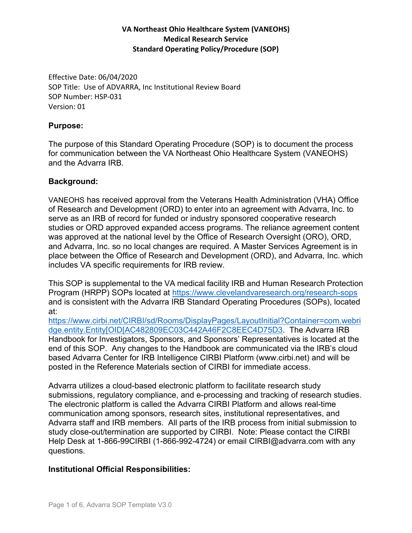Effective Date: 06/04/2020 SOP Title: Use of ADVARRA, Inc Institutional Review Board SOP Number: HSP‐031 Version: 01

#### **Purpose:**

The purpose of this Standard Operating Procedure (SOP) is to document the process for communication between the VA Northeast Ohio Healthcare System (VANEOHS) and the Advarra IRB.

#### **Background:**

VANEOHS has received approval from the Veterans Health Administration (VHA) Office of Research and Development (ORD) to enter into an agreement with Advarra, Inc. to serve as an IRB of record for funded or industry sponsored cooperative research studies or ORD approved expanded access programs. The reliance agreement content was approved at the national level by the Office of Research Oversight (ORO), ORD, and Advarra, Inc. so no local changes are required. A Master Services Agreement is in place between the Office of Research and Development (ORD), and Advarra, Inc. which includes VA specific requirements for IRB review.

This SOP is supplemental to the VA medical facility IRB and Human Research Protection Program (HRPP) SOPs located at https://www.clevelandvaresearch.org/research-sops and is consistent with the Advarra IRB Standard Operating Procedures (SOPs), located at:

https://www.cirbi.net/CIRBI/sd/Rooms/DisplayPages/LayoutInitial?Container=com.webri dge.entity.Entity[OID[AC482809EC03C442A46F2C8EEC4D75D3. The Advarra IRB Handbook for Investigators, Sponsors, and Sponsors' Representatives is located at the end of this SOP. Any changes to the Handbook are communicated via the IRB's cloud based Advarra Center for IRB Intelligence CIRBI Platform (www.cirbi.net) and will be posted in the Reference Materials section of CIRBI for immediate access.

Advarra utilizes a cloud-based electronic platform to facilitate research study submissions, regulatory compliance, and e-processing and tracking of research studies. The electronic platform is called the Advarra CIRBI Platform and allows real-time communication among sponsors, research sites, institutional representatives, and Advarra staff and IRB members. All parts of the IRB process from initial submission to study close-out/termination are supported by CIRBI. Note: Please contact the CIRBI Help Desk at 1-866-99CIRBI (1-866-992-4724) or email CIRBI@advarra.com with any questions.

## **Institutional Official Responsibilities:**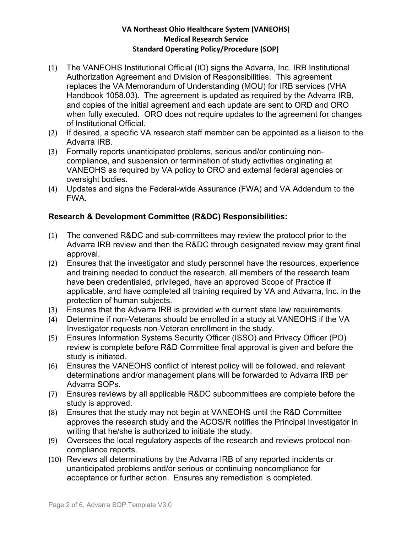- (1) The VANEOHS Institutional Official (IO) signs the Advarra, Inc. IRB Institutional Authorization Agreement and Division of Responsibilities. This agreement replaces the VA Memorandum of Understanding (MOU) for IRB services (VHA Handbook 1058.03). The agreement is updated as required by the Advarra IRB, and copies of the initial agreement and each update are sent to ORD and ORO when fully executed. ORO does not require updates to the agreement for changes of Institutional Official.
- (2) If desired, a specific VA research staff member can be appointed as a liaison to the Advarra IRB.
- (3) Formally reports unanticipated problems, serious and/or continuing noncompliance, and suspension or termination of study activities originating at VANEOHS as required by VA policy to ORO and external federal agencies or oversight bodies.
- (4) Updates and signs the Federal-wide Assurance (FWA) and VA Addendum to the FWA.

## **Research & Development Committee (R&DC) Responsibilities:**

- (1) The convened R&DC and sub-committees may review the protocol prior to the Advarra IRB review and then the R&DC through designated review may grant final approval.
- (2) Ensures that the investigator and study personnel have the resources, experience and training needed to conduct the research, all members of the research team have been credentialed, privileged, have an approved Scope of Practice if applicable, and have completed all training required by VA and Advarra, Inc. in the protection of human subjects.
- (3) Ensures that the Advarra IRB is provided with current state law requirements.
- (4) Determine if non-Veterans should be enrolled in a study at VANEOHS if the VA Investigator requests non-Veteran enrollment in the study.
- (5) Ensures Information Systems Security Officer (ISSO) and Privacy Officer (PO) review is complete before R&D Committee final approval is given and before the study is initiated.
- (6) Ensures the VANEOHS conflict of interest policy will be followed, and relevant determinations and/or management plans will be forwarded to Advarra IRB per Advarra SOPs.
- (7) Ensures reviews by all applicable R&DC subcommittees are complete before the study is approved.
- (8) Ensures that the study may not begin at VANEOHS until the R&D Committee approves the research study and the ACOS/R notifies the Principal Investigator in writing that he/she is authorized to initiate the study.
- (9) Oversees the local regulatory aspects of the research and reviews protocol noncompliance reports.
- (10) Reviews all determinations by the Advarra IRB of any reported incidents or unanticipated problems and/or serious or continuing noncompliance for acceptance or further action. Ensures any remediation is completed.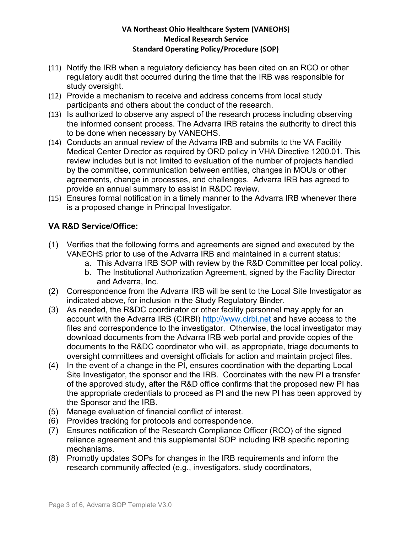- (11) Notify the IRB when a regulatory deficiency has been cited on an RCO or other regulatory audit that occurred during the time that the IRB was responsible for study oversight.
- (12) Provide a mechanism to receive and address concerns from local study participants and others about the conduct of the research.
- (13) Is authorized to observe any aspect of the research process including observing the informed consent process. The Advarra IRB retains the authority to direct this to be done when necessary by VANEOHS.
- (14) Conducts an annual review of the Advarra IRB and submits to the VA Facility Medical Center Director as required by ORD policy in VHA Directive 1200.01. This review includes but is not limited to evaluation of the number of projects handled by the committee, communication between entities, changes in MOUs or other agreements, change in processes, and challenges. Advarra IRB has agreed to provide an annual summary to assist in R&DC review.
- (15) Ensures formal notification in a timely manner to the Advarra IRB whenever there is a proposed change in Principal Investigator.

# **VA R&D Service/Office:**

- (1) Verifies that the following forms and agreements are signed and executed by the VANEOHS prior to use of the Advarra IRB and maintained in a current status:
	- a. This Advarra IRB SOP with review by the R&D Committee per local policy.
	- b. The Institutional Authorization Agreement, signed by the Facility Director and Advarra, Inc.
- (2) Correspondence from the Advarra IRB will be sent to the Local Site Investigator as indicated above, for inclusion in the Study Regulatory Binder.
- (3) As needed, the R&DC coordinator or other facility personnel may apply for an account with the Advarra IRB (CIRBI) http://www.cirbi.net and have access to the files and correspondence to the investigator. Otherwise, the local investigator may download documents from the Advarra IRB web portal and provide copies of the documents to the R&DC coordinator who will, as appropriate, triage documents to oversight committees and oversight officials for action and maintain project files.
- (4) In the event of a change in the PI, ensures coordination with the departing Local Site Investigator, the sponsor and the IRB. Coordinates with the new PI a transfer of the approved study, after the R&D office confirms that the proposed new PI has the appropriate credentials to proceed as PI and the new PI has been approved by the Sponsor and the IRB.
- (5) Manage evaluation of financial conflict of interest.
- (6) Provides tracking for protocols and correspondence.
- (7) Ensures notification of the Research Compliance Officer (RCO) of the signed reliance agreement and this supplemental SOP including IRB specific reporting mechanisms.
- (8) Promptly updates SOPs for changes in the IRB requirements and inform the research community affected (e.g., investigators, study coordinators,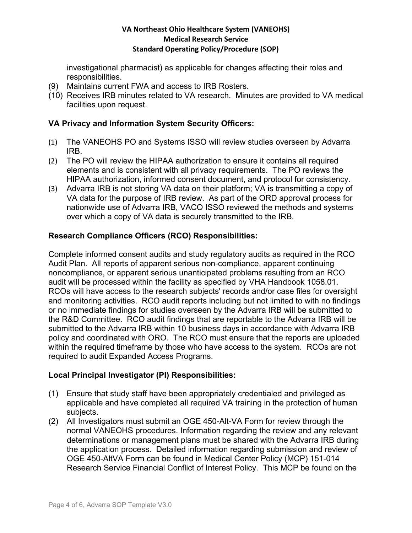investigational pharmacist) as applicable for changes affecting their roles and responsibilities.

- (9) Maintains current FWA and access to IRB Rosters.
- (10) Receives IRB minutes related to VA research. Minutes are provided to VA medical facilities upon request.

## **VA Privacy and Information System Security Officers:**

- (1) The VANEOHS PO and Systems ISSO will review studies overseen by Advarra IRB.
- (2) The PO will review the HIPAA authorization to ensure it contains all required elements and is consistent with all privacy requirements. The PO reviews the HIPAA authorization, informed consent document, and protocol for consistency.
- (3) Advarra IRB is not storing VA data on their platform; VA is transmitting a copy of VA data for the purpose of IRB review. As part of the ORD approval process for nationwide use of Advarra IRB, VACO ISSO reviewed the methods and systems over which a copy of VA data is securely transmitted to the IRB.

# **Research Compliance Officers (RCO) Responsibilities:**

Complete informed consent audits and study regulatory audits as required in the RCO Audit Plan. All reports of apparent serious non-compliance, apparent continuing noncompliance, or apparent serious unanticipated problems resulting from an RCO audit will be processed within the facility as specified by VHA Handbook 1058.01. RCOs will have access to the research subjects' records and/or case files for oversight and monitoring activities. RCO audit reports including but not limited to with no findings or no immediate findings for studies overseen by the Advarra IRB will be submitted to the R&D Committee. RCO audit findings that are reportable to the Advarra IRB will be submitted to the Advarra IRB within 10 business days in accordance with Advarra IRB policy and coordinated with ORO. The RCO must ensure that the reports are uploaded within the required timeframe by those who have access to the system. RCOs are not required to audit Expanded Access Programs.

## **Local Principal Investigator (PI) Responsibilities:**

- (1) Ensure that study staff have been appropriately credentialed and privileged as applicable and have completed all required VA training in the protection of human subjects.
- (2) All Investigators must submit an OGE 450-Alt-VA Form for review through the normal VANEOHS procedures. Information regarding the review and any relevant determinations or management plans must be shared with the Advarra IRB during the application process. Detailed information regarding submission and review of OGE 450-AltVA Form can be found in Medical Center Policy (MCP) 151-014 Research Service Financial Conflict of Interest Policy. This MCP be found on the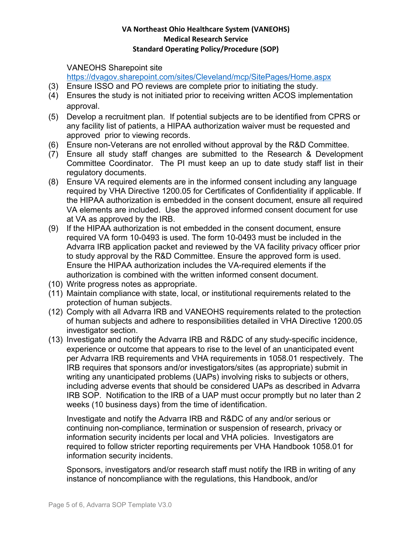VANEOHS Sharepoint site

https://dvagov.sharepoint.com/sites/Cleveland/mcp/SitePages/Home.aspx

- (3) Ensure ISSO and PO reviews are complete prior to initiating the study.
- (4) Ensures the study is not initiated prior to receiving written ACOS implementation approval.
- (5) Develop a recruitment plan. If potential subjects are to be identified from CPRS or any facility list of patients, a HIPAA authorization waiver must be requested and approved prior to viewing records.
- (6) Ensure non-Veterans are not enrolled without approval by the R&D Committee.
- (7) Ensure all study staff changes are submitted to the Research & Development Committee Coordinator. The PI must keep an up to date study staff list in their regulatory documents.
- (8) Ensure VA required elements are in the informed consent including any language required by VHA Directive 1200.05 for Certificates of Confidentiality if applicable. If the HIPAA authorization is embedded in the consent document, ensure all required VA elements are included. Use the approved informed consent document for use at VA as approved by the IRB.
- (9) If the HIPAA authorization is not embedded in the consent document, ensure required VA form 10-0493 is used. The form 10-0493 must be included in the Advarra IRB application packet and reviewed by the VA facility privacy officer prior to study approval by the R&D Committee. Ensure the approved form is used. Ensure the HIPAA authorization includes the VA-required elements if the authorization is combined with the written informed consent document.
- (10) Write progress notes as appropriate.
- (11) Maintain compliance with state, local, or institutional requirements related to the protection of human subjects.
- (12) Comply with all Advarra IRB and VANEOHS requirements related to the protection of human subjects and adhere to responsibilities detailed in VHA Directive 1200.05 investigator section.
- (13) Investigate and notify the Advarra IRB and R&DC of any study-specific incidence, experience or outcome that appears to rise to the level of an unanticipated event per Advarra IRB requirements and VHA requirements in 1058.01 respectively. The IRB requires that sponsors and/or investigators/sites (as appropriate) submit in writing any unanticipated problems (UAPs) involving risks to subjects or others, including adverse events that should be considered UAPs as described in Advarra IRB SOP. Notification to the IRB of a UAP must occur promptly but no later than 2 weeks (10 business days) from the time of identification.

Investigate and notify the Advarra IRB and R&DC of any and/or serious or continuing non-compliance, termination or suspension of research, privacy or information security incidents per local and VHA policies. Investigators are required to follow stricter reporting requirements per VHA Handbook 1058.01 for information security incidents.

Sponsors, investigators and/or research staff must notify the IRB in writing of any instance of noncompliance with the regulations, this Handbook, and/or